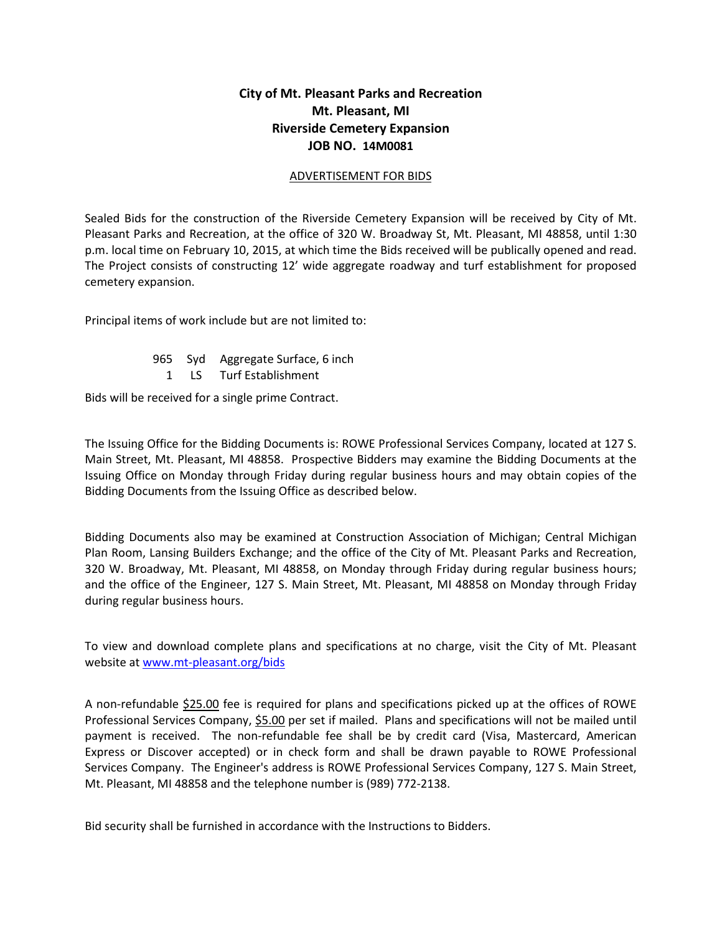## **City of Mt. Pleasant Parks and Recreation Mt. Pleasant, MI Riverside Cemetery Expansion JOB NO. 14M0081**

## ADVERTISEMENT FOR BIDS

Sealed Bids for the construction of the Riverside Cemetery Expansion will be received by City of Mt. Pleasant Parks and Recreation, at the office of 320 W. Broadway St, Mt. Pleasant, MI 48858, until 1:30 p.m. local time on February 10, 2015, at which time the Bids received will be publically opened and read. The Project consists of constructing 12' wide aggregate roadway and turf establishment for proposed cemetery expansion.

Principal items of work include but are not limited to:

965 Syd Aggregate Surface, 6 inch 1 LS Turf Establishment

Bids will be received for a single prime Contract.

The Issuing Office for the Bidding Documents is: ROWE Professional Services Company, located at 127 S. Main Street, Mt. Pleasant, MI 48858. Prospective Bidders may examine the Bidding Documents at the Issuing Office on Monday through Friday during regular business hours and may obtain copies of the Bidding Documents from the Issuing Office as described below.

Bidding Documents also may be examined at Construction Association of Michigan; Central Michigan Plan Room, Lansing Builders Exchange; and the office of the City of Mt. Pleasant Parks and Recreation, 320 W. Broadway, Mt. Pleasant, MI 48858, on Monday through Friday during regular business hours; and the office of the Engineer, 127 S. Main Street, Mt. Pleasant, MI 48858 on Monday through Friday during regular business hours.

To view and download complete plans and specifications at no charge, visit the City of Mt. Pleasant website at [www.mt-pleasant.org/bids](http://www.mt-pleasant.org/bids)

A non-refundable \$25.00 fee is required for plans and specifications picked up at the offices of ROWE Professional Services Company, \$5.00 per set if mailed. Plans and specifications will not be mailed until payment is received. The non-refundable fee shall be by credit card (Visa, Mastercard, American Express or Discover accepted) or in check form and shall be drawn payable to ROWE Professional Services Company. The Engineer's address is ROWE Professional Services Company, 127 S. Main Street, Mt. Pleasant, MI 48858 and the telephone number is (989) 772-2138.

Bid security shall be furnished in accordance with the Instructions to Bidders.